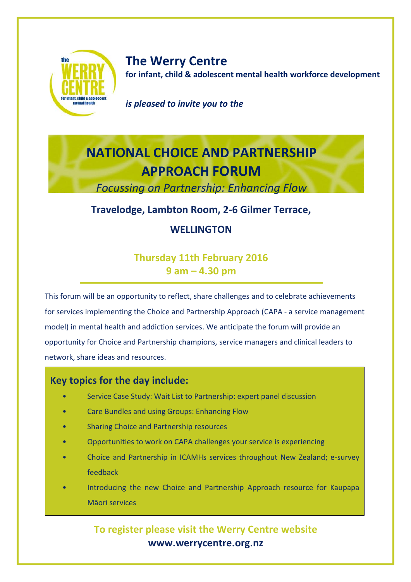

**The Werry Centre for infant, child & adolescent mental health workforce development**

*is pleased to invite you to*

#### *is pleased to invite you to the*

# **NATIONAL CHOICE AND PARTNERSHIP APPROACH FORUM**

*Focussing on Partnership: Enhancing Flow*

## *Sharing our challenges and achievements* **Travelodge, Lambton Room, 2-6 Gilmer Terrace,**

#### **WELLINGTON**

### **Thursday 11th February 2016 9 am – 4.30 pm**

This forum will be an opportunity to reflect, share challenges and to celebrate achievements for services implementing the Choice and Partnership Approach (CAPA - a service management model) in mental health and addiction services. We anticipate the forum will provide an opportunity for Choice and Partnership champions, service managers and clinical leaders to network, share ideas and resources.

#### **Key topics for the day include:**

- Service Case Study: Wait List to Partnership: expert panel discussion
- Care Bundles and using Groups: Enhancing Flow
- Sharing Choice and Partnership resources
- Opportunities to work on CAPA challenges your service is experiencing
- Choice and Partnership in ICAMHs services throughout New Zealand; e-survey feedback
- Introducing the new Choice and Partnership Approach resource for Kaupapa Māori services

## **To register please visit the Werry Centre website www.werrycentre.org.nz**